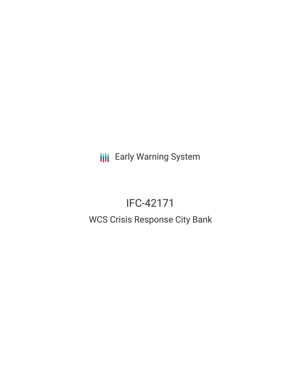**III** Early Warning System

# IFC-42171

## WCS Crisis Response City Bank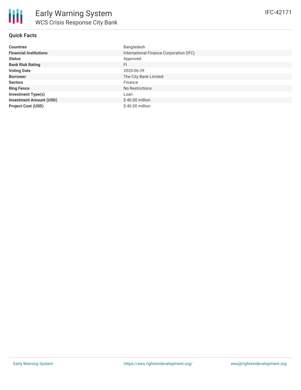

### **Quick Facts**

| <b>Countries</b>               | Bangladesh                              |
|--------------------------------|-----------------------------------------|
| <b>Financial Institutions</b>  | International Finance Corporation (IFC) |
| <b>Status</b>                  | Approved                                |
| <b>Bank Risk Rating</b>        | <b>FI</b>                               |
| <b>Voting Date</b>             | 2020-06-29                              |
| <b>Borrower</b>                | The City Bank Limited                   |
| <b>Sectors</b>                 | Finance                                 |
| <b>Ring Fence</b>              | No Restrictions                         |
| <b>Investment Type(s)</b>      | Loan                                    |
| <b>Investment Amount (USD)</b> | $$40.00$ million                        |
| <b>Project Cost (USD)</b>      | $$40.00$ million                        |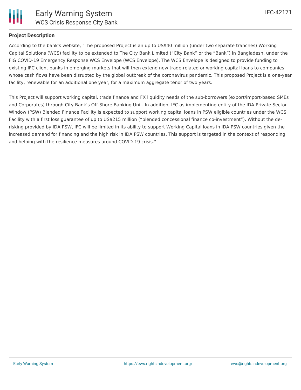

#### **Project Description**

According to the bank's website, "The proposed Project is an up to US\$40 million (under two separate tranches) Working Capital Solutions (WCS) facility to be extended to The City Bank Limited ("City Bank" or the "Bank") in Bangladesh, under the FIG COVID-19 Emergency Response WCS Envelope (WCS Envelope). The WCS Envelope is designed to provide funding to existing IFC client banks in emerging markets that will then extend new trade-related or working capital loans to companies whose cash flows have been disrupted by the global outbreak of the coronavirus pandemic. This proposed Project is a one-year facility, renewable for an additional one year, for a maximum aggregate tenor of two years.

This Project will support working capital, trade finance and FX liquidity needs of the sub-borrowers (export/import-based SMEs and Corporates) through City Bank's Off-Shore Banking Unit. In addition, IFC as implementing entity of the IDA Private Sector Window (PSW) Blended Finance Facility is expected to support working capital loans in PSW eligible countries under the WCS Facility with a first loss guarantee of up to US\$215 million ("blended concessional finance co-investment"). Without the derisking provided by IDA PSW, IFC will be limited in its ability to support Working Capital loans in IDA PSW countries given the increased demand for financing and the high risk in IDA PSW countries. This support is targeted in the context of responding and helping with the resilience measures around COVID-19 crisis."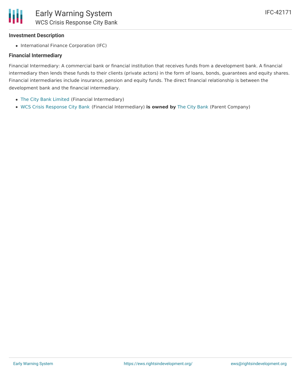#### **Investment Description**

• International Finance Corporation (IFC)

#### **Financial Intermediary**

Financial Intermediary: A commercial bank or financial institution that receives funds from a development bank. A financial intermediary then lends these funds to their clients (private actors) in the form of loans, bonds, guarantees and equity shares. Financial intermediaries include insurance, pension and equity funds. The direct financial relationship is between the development bank and the financial intermediary.

- The City Bank [Limited](file:///actor/476/) (Financial Intermediary)
- WCS Crisis [Response](file:///actor/4138/) City Bank (Financial Intermediary) **is owned by** The City [Bank](file:///actor/4128/) (Parent Company)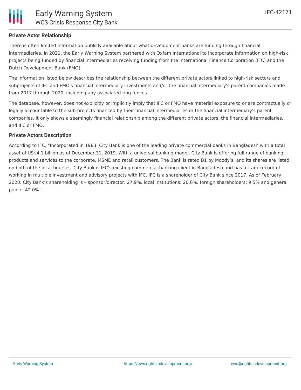

#### **Private Actor Relationship**

There is often limited information publicly available about what development banks are funding through financial intermediaries. In 2021, the Early Warning System partnered with Oxfam International to incorporate information on high-risk projects being funded by financial intermediaries receiving funding from the International Finance Corporation (IFC) and the Dutch Development Bank (FMO).

The information listed below describes the relationship between the different private actors linked to high-risk sectors and subprojects of IFC and FMO's financial intermediary investments and/or the financial intermediary's parent companies made from 2017 through 2020, including any associated ring fences.

The database, however, does not explicitly or implicitly imply that IFC or FMO have material exposure to or are contractually or legally accountable to the sub-projects financed by their financial intermediaries or the financial intermediary's parent companies. It only shows a seemingly financial relationship among the different private actors, the financial intermediaries, and IFC or FMO.

#### **Private Actors Description**

According to IFC, "Incorporated in 1983, City Bank is one of the leading private commercial banks in Bangladesh with a total asset of US\$4.1 billion as of December 31, 2019. With a universal banking model, City Bank is offering full range of banking products and services to the corporate, MSME and retail customers. The Bank is rated B1 by Moody's, and its shares are listed on both of the local bourses. City Bank is IFC's existing commercial banking client in Bangladesh and has a track record of working in multiple investment and advisory projects with IFC. IFC is a shareholder of City Bank since 2017. As of February 2020, City Bank's shareholding is – sponsor/director: 27.9%, local institutions: 20.6%, foreign shareholders: 9.5% and general public: 42.0%."